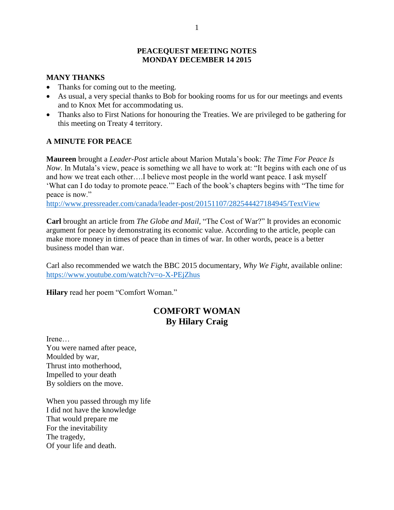## **PEACEQUEST MEETING NOTES MONDAY DECEMBER 14 2015**

## **MANY THANKS**

- Thanks for coming out to the meeting.
- As usual, a very special thanks to Bob for booking rooms for us for our meetings and events and to Knox Met for accommodating us.
- Thanks also to First Nations for honouring the Treaties. We are privileged to be gathering for this meeting on Treaty 4 territory.

## **A MINUTE FOR PEACE**

**Maureen** brought a *Leader-Post* article about Marion Mutala's book: *The Time For Peace Is Now*. In Mutala's view, peace is something we all have to work at: "It begins with each one of us and how we treat each other….I believe most people in the world want peace. I ask myself 'What can I do today to promote peace.'" Each of the book's chapters begins with "The time for peace is now."

<http://www.pressreader.com/canada/leader-post/20151107/282544427184945/TextView>

**Carl** brought an article from *The Globe and Mail,* "The Cost of War?" It provides an economic argument for peace by demonstrating its economic value. According to the article, people can make more money in times of peace than in times of war. In other words, peace is a better business model than war.

Carl also recommended we watch the BBC 2015 documentary, *Why We Fight*, available online: <https://www.youtube.com/watch?v=o-X-PEjZhus>

**Hilary** read her poem "Comfort Woman."

# **COMFORT WOMAN By Hilary Craig**

Irene… You were named after peace, Moulded by war, Thrust into motherhood, Impelled to your death By soldiers on the move.

When you passed through my life I did not have the knowledge That would prepare me For the inevitability The tragedy, Of your life and death.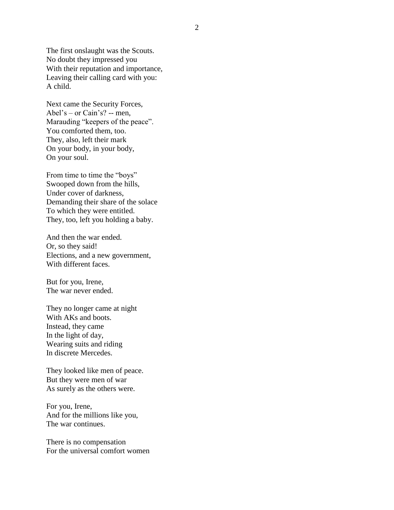The first onslaught was the Scouts. No doubt they impressed you With their reputation and importance, Leaving their calling card with you: A child.

Next came the Security Forces, Abel's – or Cain's? -- men, Marauding "keepers of the peace". You comforted them, too. They, also, left their mark On your body, in your body, On your soul.

From time to time the "boys" Swooped down from the hills, Under cover of darkness, Demanding their share of the solace To which they were entitled. They, too, left you holding a baby.

And then the war ended. Or, so they said! Elections, and a new government, With different faces.

But for you, Irene, The war never ended.

They no longer came at night With AKs and boots. Instead, they came In the light of day, Wearing suits and riding In discrete Mercedes.

They looked like men of peace. But they were men of war As surely as the others were.

For you, Irene, And for the millions like you, The war continues.

There is no compensation For the universal comfort women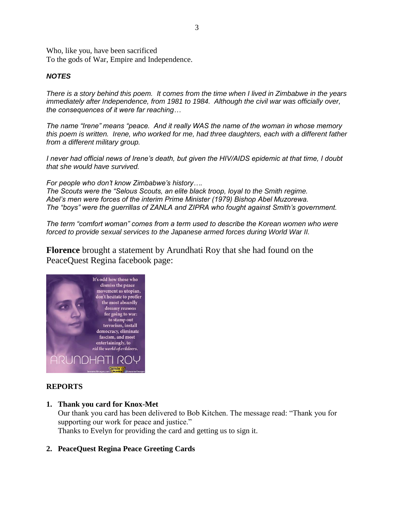Who, like you, have been sacrificed To the gods of War, Empire and Independence.

## *NOTES*

*There is a story behind this poem. It comes from the time when I lived in Zimbabwe in the years immediately after Independence, from 1981 to 1984. Although the civil war was officially over, the consequences of it were far reaching…*

*The name "Irene" means "peace. And it really WAS the name of the woman in whose memory this poem is written. Irene, who worked for me, had three daughters, each with a different father from a different military group.*

*I never had official news of Irene's death, but given the HIV/AIDS epidemic at that time, I doubt that she would have survived.*

*For people who don't know Zimbabwe's history…. The Scouts were the "Selous Scouts, an elite black troop, loyal to the Smith regime. Abel's men were forces of the interim Prime Minister (1979) Bishop Abel Muzorewa. The "boys" were the guerrillas of ZANLA and ZIPRA who fought against Smith's government.*

*The term "comfort woman" comes from a term used to describe the Korean women who were forced to provide sexual services to the Japanese armed forces during World War II.*

**Florence** brought a statement by Arundhati Roy that she had found on the PeaceQuest Regina facebook page:



## **REPORTS**

**1. Thank you card for Knox-Met**

Our thank you card has been delivered to Bob Kitchen. The message read: "Thank you for supporting our work for peace and justice." Thanks to Evelyn for providing the card and getting us to sign it.

**2. PeaceQuest Regina Peace Greeting Cards**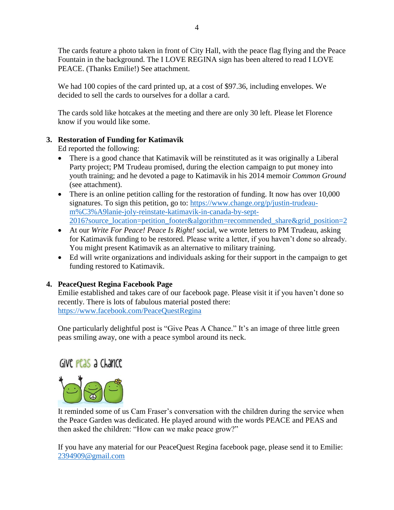The cards feature a photo taken in front of City Hall, with the peace flag flying and the Peace Fountain in the background. The I LOVE REGINA sign has been altered to read I LOVE PEACE. (Thanks Emilie!) See attachment.

We had 100 copies of the card printed up, at a cost of \$97.36, including envelopes. We decided to sell the cards to ourselves for a dollar a card.

The cards sold like hotcakes at the meeting and there are only 30 left. Please let Florence know if you would like some.

# **3. Restoration of Funding for Katimavik**

Ed reported the following:

- There is a good chance that Katimavik will be reinstituted as it was originally a Liberal Party project; PM Trudeau promised, during the election campaign to put money into youth training; and he devoted a page to Katimavik in his 2014 memoir *Common Ground* (see attachment).
- There is an online petition calling for the restoration of funding. It now has over 10,000 signatures. To sign this petition, go to: [https://www.change.org/p/justin-trudeau](https://www.change.org/p/justin-trudeau-m%C3%A9lanie-joly-reinstate-katimavik-in-canada-by-sept-2016?source_location=petition_footer&algorithm=recommended_share&grid_position=2)[m%C3%A9lanie-joly-reinstate-katimavik-in-canada-by-sept-](https://www.change.org/p/justin-trudeau-m%C3%A9lanie-joly-reinstate-katimavik-in-canada-by-sept-2016?source_location=petition_footer&algorithm=recommended_share&grid_position=2)[2016?source\\_location=petition\\_footer&algorithm=recommended\\_share&grid\\_position=2](https://www.change.org/p/justin-trudeau-m%C3%A9lanie-joly-reinstate-katimavik-in-canada-by-sept-2016?source_location=petition_footer&algorithm=recommended_share&grid_position=2)
- At our *Write For Peace! Peace Is Right!* social, we wrote letters to PM Trudeau, asking for Katimavik funding to be restored. Please write a letter, if you haven't done so already. You might present Katimavik as an alternative to military training.
- Ed will write organizations and individuals asking for their support in the campaign to get funding restored to Katimavik.

# **4. PeaceQuest Regina Facebook Page**

Emilie established and takes care of our facebook page. Please visit it if you haven't done so recently. There is lots of fabulous material posted there: <https://www.facebook.com/PeaceQuestRegina>

One particularly delightful post is "Give Peas A Chance." It's an image of three little green peas smiling away, one with a peace symbol around its neck.

# Give pease a chance



It reminded some of us Cam Fraser's conversation with the children during the service when the Peace Garden was dedicated. He played around with the words PEACE and PEAS and then asked the children: "How can we make peace grow?"

If you have any material for our PeaceQuest Regina facebook page, please send it to Emilie: [2394909@gmail.com](mailto:2394909@gmail.com)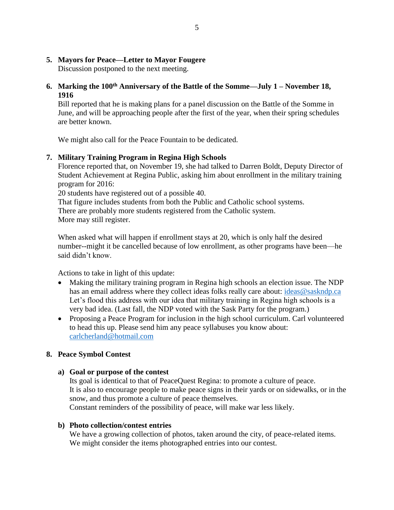## **5. Mayors for Peace—Letter to Mayor Fougere**

Discussion postponed to the next meeting.

# **6. Marking the 100th Anniversary of the Battle of the Somme—July 1 – November 18, 1916**

Bill reported that he is making plans for a panel discussion on the Battle of the Somme in June, and will be approaching people after the first of the year, when their spring schedules are better known.

We might also call for the Peace Fountain to be dedicated.

## **7. Military Training Program in Regina High Schools**

Florence reported that, on November 19, she had talked to Darren Boldt, Deputy Director of Student Achievement at Regina Public, asking him about enrollment in the military training program for 2016:

20 students have registered out of a possible 40.

That figure includes students from both the Public and Catholic school systems. There are probably more students registered from the Catholic system. More may still register.

When asked what will happen if enrollment stays at 20, which is only half the desired number--might it be cancelled because of low enrollment, as other programs have been—he said didn't know.

Actions to take in light of this update:

- Making the military training program in Regina high schools an election issue. The NDP has an email address where they collect ideas folks really care about: ideas @saskndp.ca Let's flood this address with our idea that military training in Regina high schools is a very bad idea. (Last fall, the NDP voted with the Sask Party for the program.)
- Proposing a Peace Program for inclusion in the high school curriculum. Carl volunteered to head this up. Please send him any peace syllabuses you know about: [carlcherland@hotmail.com](mailto:carlcherland@hotmail.com)

## **8. Peace Symbol Contest**

## **a) Goal or purpose of the contest**

Its goal is identical to that of PeaceQuest Regina: to promote a culture of peace. It is also to encourage people to make peace signs in their yards or on sidewalks, or in the snow, and thus promote a culture of peace themselves. Constant reminders of the possibility of peace, will make war less likely.

## **b) Photo collection/contest entries**

We have a growing collection of photos, taken around the city, of peace-related items. We might consider the items photographed entries into our contest.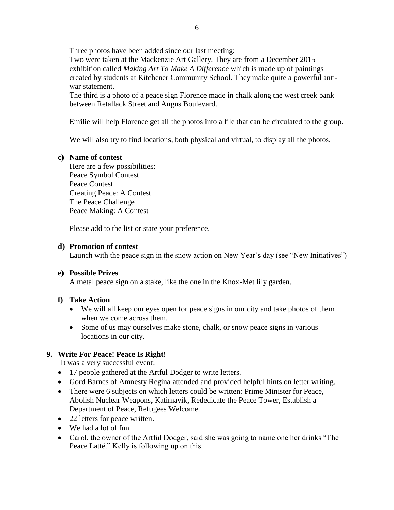Three photos have been added since our last meeting:

Two were taken at the Mackenzie Art Gallery. They are from a December 2015 exhibition called *Making Art To Make A Difference* which is made up of paintings created by students at Kitchener Community School. They make quite a powerful antiwar statement.

The third is a photo of a peace sign Florence made in chalk along the west creek bank between Retallack Street and Angus Boulevard.

Emilie will help Florence get all the photos into a file that can be circulated to the group.

We will also try to find locations, both physical and virtual, to display all the photos.

## **c) Name of contest**

Here are a few possibilities: Peace Symbol Contest Peace Contest Creating Peace: A Contest The Peace Challenge Peace Making: A Contest

Please add to the list or state your preference.

#### **d) Promotion of contest**

Launch with the peace sign in the snow action on New Year's day (see "New Initiatives")

## **e) Possible Prizes**

A metal peace sign on a stake, like the one in the Knox-Met lily garden.

## **f) Take Action**

- We will all keep our eyes open for peace signs in our city and take photos of them when we come across them.
- Some of us may ourselves make stone, chalk, or snow peace signs in various locations in our city.

## **9. Write For Peace! Peace Is Right!**

It was a very successful event:

- 17 people gathered at the Artful Dodger to write letters.
- Gord Barnes of Amnesty Regina attended and provided helpful hints on letter writing.
- There were 6 subjects on which letters could be written: Prime Minister for Peace, Abolish Nuclear Weapons, Katimavik, Rededicate the Peace Tower, Establish a Department of Peace, Refugees Welcome.
- 22 letters for peace written.
- We had a lot of fun.
- Carol, the owner of the Artful Dodger, said she was going to name one her drinks "The Peace Latté." Kelly is following up on this.